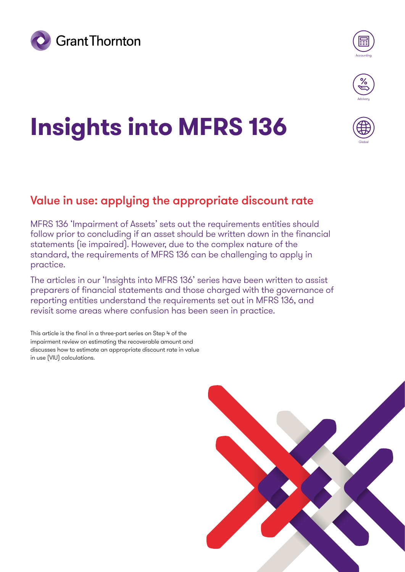



Globa

# **Insights into MFRS 136**

## Value in use: applying the appropriate discount rate

MFRS 136 'Impairment of Assets' sets out the requirements entities should follow prior to concluding if an asset should be written down in the financial statements (ie impaired). However, due to the complex nature of the standard, the requirements of MFRS 136 can be challenging to apply in practice.

The articles in our 'Insights into MFRS 136' series have been written to assist preparers of financial statements and those charged with the governance of reporting entities understand the requirements set out in MFRS 136, and revisit some areas where confusion has been seen in practice.

This article is the final in a three-part series on Step 4 of the impairment review on estimating the recoverable amount and discusses how to estimate an appropriate discount rate in value in use (VIU) calculations.

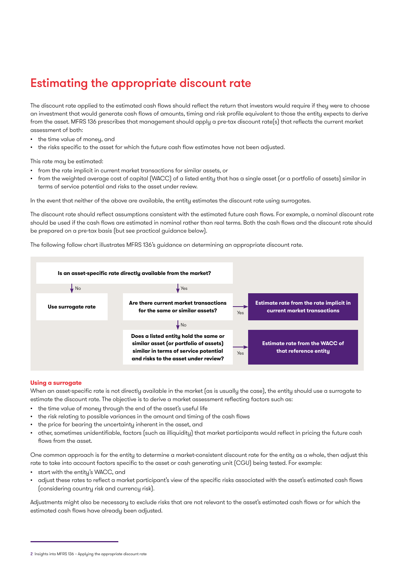## Estimating the appropriate discount rate

The discount rate applied to the estimated cash flows should reflect the return that investors would require if they were to choose an investment that would generate cash flows of amounts, timing and risk profile equivalent to those the entity expects to derive from the asset. MFRS 136 prescribes that management should apply a pre-tax discount rate(s) that reflects the current market assessment of both:

- the time value of money, and
- the risks specific to the asset for which the future cash flow estimates have not been adjusted.

This rate may be estimated:

- from the rate implicit in current market transactions for similar assets, or
- from the weighted average cost of capital (WACC) of a listed entity that has a single asset (or a portfolio of assets) similar in terms of service potential and risks to the asset under review.

In the event that neither of the above are available, the entity estimates the discount rate using surrogates.

The discount rate should reflect assumptions consistent with the estimated future cash flows. For example, a nominal discount rate should be used if the cash flows are estimated in nominal rather than real terms. Both the cash flows and the discount rate should be prepared on a pre-tax basis (but see practical guidance below).

The following follow chart illustrates MFRS 136's guidance on determining an appropriate discount rate.



#### **Using a surrogate**

When an asset-specific rate is not directly available in the market (as is usually the case), the entity should use a surrogate to estimate the discount rate. The objective is to derive a market assessment reflecting factors such as:

- the time value of money through the end of the asset's useful life
- the risk relating to possible variances in the amount and timing of the cash flows
- the price for bearing the uncertainty inherent in the asset, and
- other, sometimes unidentifiable, factors (such as illiquidity) that market participants would reflect in pricing the future cash flows from the asset.

One common approach is for the entity to determine a market-consistent discount rate for the entity as a whole, then adjust this rate to take into account factors specific to the asset or cash generating unit (CGU) being tested. For example:

- start with the entity's WACC, and
- adjust these rates to reflect a market participant's view of the specific risks associated with the asset's estimated cash flows (considering country risk and currency risk).

Adjustments might also be necessary to exclude risks that are not relevant to the asset's estimated cash flows or for which the estimated cash flows have already been adjusted.

<sup>2</sup> Insights into MFRS 136 – Applying the appropriate discount rate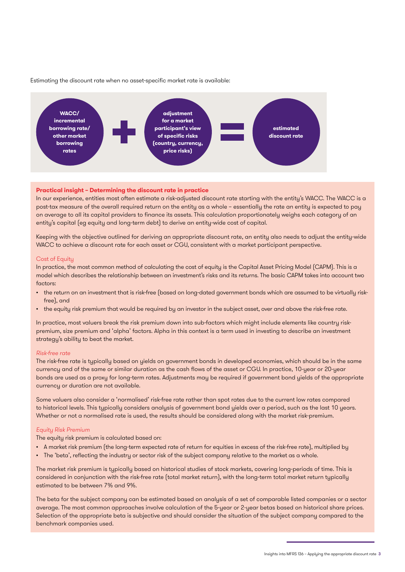

Estimating the discount rate when no asset-specific market rate is available:

#### **Practical insight – Determining the discount rate in practice**

In our experience, entities most often estimate a risk-adjusted discount rate starting with the entity's WACC. The WACC is a post-tax measure of the overall required return on the entity as a whole – essentially the rate an entity is expected to pay on average to all its capital providers to finance its assets. This calculation proportionately weighs each category of an entity's capital (eg equity and long-term debt) to derive an entity-wide cost of capital.

Keeping with the objective outlined for deriving an appropriate discount rate, an entity also needs to adjust the entity-wide WACC to achieve a discount rate for each asset or CGU, consistent with a market participant perspective.

#### Cost of Equitu

In practice, the most common method of calculating the cost of equity is the Capital Asset Pricing Model (CAPM). This is a model which describes the relationship between an investment's risks and its returns. The basic CAPM takes into account two factors:

- the return on an investment that is risk-free (based on long-dated government bonds which are assumed to be virtually riskfree), and
- the equity risk premium that would be required by an investor in the subject asset, over and above the risk-free rate.

In practice, most valuers break the risk premium down into sub-factors which might include elements like country riskpremium, size premium and 'alpha' factors. Alpha in this context is a term used in investing to describe an investment strategy's ability to beat the market.

#### Risk-free rate

The risk-free rate is typically based on yields on government bonds in developed economies, which should be in the same currency and of the same or similar duration as the cash flows of the asset or CGU. In practice, 10-year or 20-year bonds are used as a proxy for long-term rates. Adjustments may be required if government bond yields of the appropriate currency or duration are not available.

Some valuers also consider a 'normalised' risk-free rate rather than spot rates due to the current low rates compared to historical levels. This typically considers analysis of government bond yields over a period, such as the last 10 years. Whether or not a normalised rate is used, the results should be considered along with the market risk-premium.

#### Equity Risk Premium

The equity risk premium is calculated based on:

- A market risk premium (the long-term expected rate of return for equities in excess of the risk-free rate), multiplied by
- The 'beta', reflecting the industry or sector risk of the subject company relative to the market as a whole.

The market risk premium is typically based on historical studies of stock markets, covering long-periods of time. This is considered in conjunction with the risk-free rate (total market return), with the long-term total market return typically estimated to be between 7% and 9%.

The beta for the subject company can be estimated based on analysis of a set of comparable listed companies or a sector average. The most common approaches involve calculation of the 5-year or 2-year betas based on historical share prices. Selection of the appropriate beta is subjective and should consider the situation of the subject company compared to the benchmark companies used.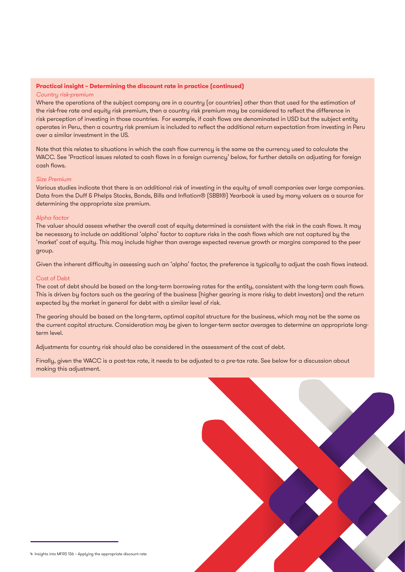#### **Practical insight – Determining the discount rate in practice (continued)**

#### Country risk-premium

Where the operations of the subject company are in a country (or countries) other than that used for the estimation of the risk-free rate and equity risk premium, then a country risk premium may be considered to reflect the difference in risk perception of investing in those countries. For example, if cash flows are denominated in USD but the subject entity operates in Peru, then a country risk premium is included to reflect the additional return expectation from investing in Peru over a similar investment in the US.

Note that this relates to situations in which the cash flow currency is the same as the currency used to calculate the WACC. See 'Practical issues related to cash flows in a foreign currency' below, for further details on adjusting for foreign cash flows.

#### Size Premium

Various studies indicate that there is an additional risk of investing in the equity of small companies over large companies. Data from the Duff & Phelps Stocks, Bonds, Bills and Inflation® (SBBI®) Yearbook is used by many valuers as a source for determining the appropriate size premium.

#### Alpha factor

The valuer should assess whether the overall cost of equity determined is consistent with the risk in the cash flows. It may be necessary to include an additional 'alpha' factor to capture risks in the cash flows which are not captured by the 'market' cost of equity. This may include higher than average expected revenue growth or margins compared to the peer group.

Given the inherent difficulty in assessing such an 'alpha' factor, the preference is typically to adjust the cash flows instead.

#### Cost of Debt

The cost of debt should be based on the long-term borrowing rates for the entity, consistent with the long-term cash flows. This is driven by factors such as the gearing of the business (higher gearing is more risky to debt investors) and the return expected by the market in general for debt with a similar level of risk.

The gearing should be based on the long-term, optimal capital structure for the business, which may not be the same as the current capital structure. Consideration may be given to longer-term sector averages to determine an appropriate longterm level.

Adjustments for country risk should also be considered in the assessment of the cost of debt.

Finally, given the WACC is a post-tax rate, it needs to be adjusted to a pre-tax rate. See below for a discussion about making this adjustment.

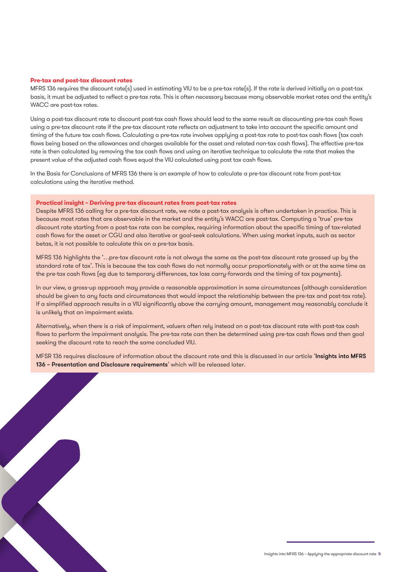#### **Pre-tax and post-tax discount rates**

MFRS 136 requires the discount rate(s) used in estimating VIU to be a pre-tax rate(s). If the rate is derived initially on a post-tax basis, it must be adjusted to reflect a pre-tax rate. This is often necessary because many observable market rates and the entity's WACC are post-tax rates.

Using a post-tax discount rate to discount post-tax cash flows should lead to the same result as discounting pre-tax cash flows using a pre-tax discount rate if the pre-tax discount rate reflects an adjustment to take into account the specific amount and timing of the future tax cash flows. Calculating a pre-tax rate involves applying a post-tax rate to post-tax cash flows (tax cash flows being based on the allowances and charges available for the asset and related non-tax cash flows). The effective pre-tax rate is then calculated by removing the tax cash flows and using an iterative technique to calculate the rate that makes the present value of the adjusted cash flows equal the VIU calculated using post tax cash flows.

In the Basis for Conclusions of MFRS 136 there is an example of how to calculate a pre-tax discount rate from post-tax calculations using the iterative method.

#### **Practical insight – Deriving pre-tax discount rates from post-tax rates**

Despite MFRS 136 calling for a pre-tax discount rate, we note a post-tax analysis is often undertaken in practice. This is because most rates that are observable in the market and the entity's WACC are post-tax. Computing a 'true' pre-tax discount rate starting from a post-tax rate can be complex, requiring information about the specific timing of tax-related cash flows for the asset or CGU and also iterative or goal-seek calculations. When using market inputs, such as sector betas, it is not possible to calculate this on a pre-tax basis.

MFRS 136 highlights the '…pre-tax discount rate is not always the same as the post-tax discount rate grossed up by the standard rate of tax'. This is because the tax cash flows do not normally occur proportionately with or at the same time as the pre-tax cash flows (eg due to temporary differences, tax loss carry-forwards and the timing of tax payments).

In our view, a gross-up approach may provide a reasonable approximation in some circumstances (although consideration should be given to any facts and circumstances that would impact the relationship between the pre-tax and post-tax rate). If a simplified approach results in a VIU significantly above the carrying amount, management may reasonably conclude it is unlikely that an impairment exists.

Alternatively, when there is a risk of impairment, valuers often rely instead on a post-tax discount rate with post-tax cash flows to perform the impairment analysis. The pre-tax rate can then be determined using pre-tax cash flows and then goal seeking the discount rate to reach the same concluded VIU.

MFSR 136 requires disclosure of information about the discount rate and this is discussed in our article 'Insights into MFRS 136 – Presentation and Disclosure requirements' which will be released later.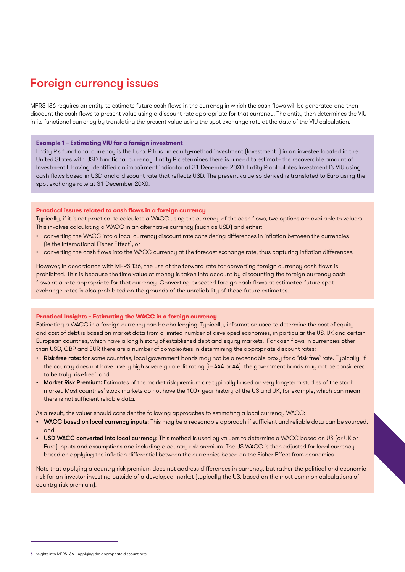## Foreign currency issues

MFRS 136 requires an entity to estimate future cash flows in the currency in which the cash flows will be generated and then discount the cash flows to present value using a discount rate appropriate for that currency. The entity then determines the VIU in its functional currency by translating the present value using the spot exchange rate at the date of the VIU calculation.

#### **Example 1 – Estimating VIU for a foreign investment**

Entity P's functional currency is the Euro. P has an equity-method investment (Investment I) in an investee located in the United States with USD functional currency. Entity P determines there is a need to estimate the recoverable amount of Investment I, having identified an impairment indicator at 31 December 20X0. Entity P calculates Investment I's VIU using cash flows based in USD and a discount rate that reflects USD. The present value so derived is translated to Euro using the spot exchange rate at 31 December 20X0.

#### **Practical issues related to cash flows in a foreign currency**

Typically, if it is not practical to calculate a WACC using the currency of the cash flows, two options are available to valuers. This involves calculating a WACC in an alternative currency (such as USD) and either:

- converting the WACC into a local currency discount rate considering differences in inflation between the currencies (ie the international Fisher Effect), or
- converting the cash flows into the WACC currency at the forecast exchange rate, thus capturing inflation differences.

However, in accordance with MFRS 136, the use of the forward rate for converting foreign currency cash flows is prohibited. This is because the time value of money is taken into account by discounting the foreign currency cash flows at a rate appropriate for that currency. Converting expected foreign cash flows at estimated future spot exchange rates is also prohibited on the grounds of the unreliability of those future estimates.

#### **Practical Insights – Estimating the WACC in a foreign currency**

Estimating a WACC in a foreign currency can be challenging. Typically, information used to determine the cost of equity and cost of debt is based on market data from a limited number of developed economies, in particular the US, UK and certain European countries, which have a long history of established debt and equity markets. For cash flows in currencies other than USD, GBP and EUR there are a number of complexities in determining the appropriate discount rates:

- Risk-free rate: for some countries, local government bonds may not be a reasonable proxy for a 'risk-free' rate. Typically, if the country does not have a very high sovereign credit rating (ie AAA or AA), the government bonds may not be considered to be truly 'risk-free', and
- Market Risk Premium: Estimates of the market risk premium are typically based on very long-term studies of the stock market. Most countries' stock markets do not have the 100+ year history of the US and UK, for example, which can mean there is not sufficient reliable data.

As a result, the valuer should consider the following approaches to estimating a local currency WACC:

- WACC based on local currency inputs: This may be a reasonable approach if sufficient and reliable data can be sourced, and
- USD WACC converted into local currency: This method is used by valuers to determine a WACC based on US (or UK or Euro) inputs and assumptions and including a country risk premium. The US WACC is then adjusted for local currency based on applying the inflation differential between the currencies based on the Fisher Effect from economics.

Note that applying a country risk premium does not address differences in currency, but rather the political and economic risk for an investor investing outside of a developed market (typically the US, based on the most common calculations of country risk premium).

<sup>6</sup> Insights into MFRS 136 – Applying the appropriate discount rate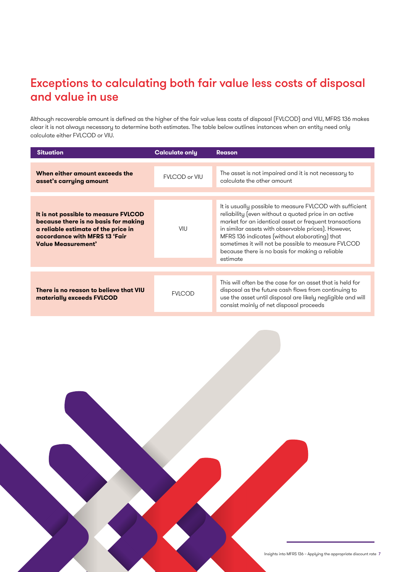## Exceptions to calculating both fair value less costs of disposal and value in use

Although recoverable amount is defined as the higher of the fair value less costs of disposal (FVLCOD) and VIU, MFRS 136 makes clear it is not always necessary to determine both estimates. The table below outlines instances when an entity need only calculate either FVLCOD or VIU.

| <b>Situation</b>                                                                                                                                                                  | <b>Calculate only</b> | <b>Reason</b>                                                                                                                                                                                                                                                                                                                                                                                             |
|-----------------------------------------------------------------------------------------------------------------------------------------------------------------------------------|-----------------------|-----------------------------------------------------------------------------------------------------------------------------------------------------------------------------------------------------------------------------------------------------------------------------------------------------------------------------------------------------------------------------------------------------------|
| When either amount exceeds the<br>asset's carrying amount                                                                                                                         | <b>FVLCOD or VIU</b>  | The asset is not impaired and it is not necessary to<br>calculate the other amount                                                                                                                                                                                                                                                                                                                        |
| It is not possible to measure FVLCOD<br>because there is no basis for making<br>a reliable estimate of the price in<br>accordance with MFRS 13 'Fair<br><b>Value Measurement'</b> | VIU                   | It is usually possible to measure FVLCOD with sufficient<br>reliability (even without a quoted price in an active<br>market for an identical asset or frequent transactions<br>in similar assets with observable prices). However,<br>MFRS 136 indicates (without elaborating) that<br>sometimes it will not be possible to measure FVLCOD<br>because there is no basis for making a reliable<br>estimate |
|                                                                                                                                                                                   |                       |                                                                                                                                                                                                                                                                                                                                                                                                           |
| There is no reason to believe that VIU<br>materially exceeds FVLCOD                                                                                                               | <b>FVLCOD</b>         | This will often be the case for an asset that is held for<br>disposal as the future cash flows from continuing to<br>use the asset until disposal are likely negligible and will<br>consist mainly of net disposal proceeds                                                                                                                                                                               |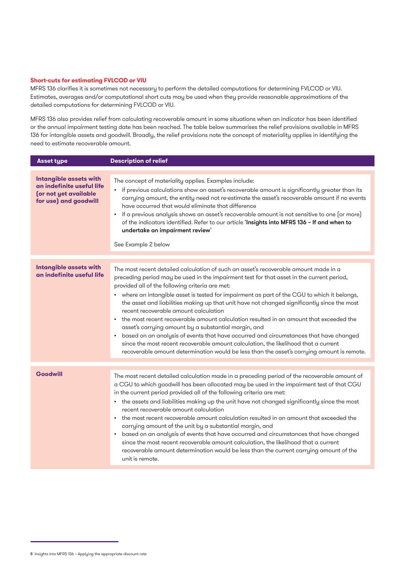#### **Short-cuts for estimating FVLCOD or VIU**

MFRS 136 clarifies it is sometimes not necessary to perform the detailed computations for determining FVLCOD or VIU. Estimates, averages and/or computational short cuts may be used when they provide reasonable approximations of the detailed computations for determining FVLCOD or VIU.

MFRS 136 also provides relief from calculating recoverable amount in some situations when an indicator has been identified or the annual impairment testing date has been reached. The table below summarises the relief provisions available in MFRS 136 for intangible assets and goodwill. Broadly, the relief provisions note the concept of materiality applies in identifying the need to estimate recoverable amount.

| <b>Asset type</b>                                                                                            | <b>Description of relief</b>                                                                                                                                                                                                                                                                                                                                                                                                                                                                                                                                                                                                                                                                                                                                                                                                                                                                                                         |
|--------------------------------------------------------------------------------------------------------------|--------------------------------------------------------------------------------------------------------------------------------------------------------------------------------------------------------------------------------------------------------------------------------------------------------------------------------------------------------------------------------------------------------------------------------------------------------------------------------------------------------------------------------------------------------------------------------------------------------------------------------------------------------------------------------------------------------------------------------------------------------------------------------------------------------------------------------------------------------------------------------------------------------------------------------------|
| <b>Intangible assets with</b><br>an indefinite useful life<br>(or not yet available<br>for use) and goodwill | The concept of materiality applies. Examples include:<br>• if previous calculations show an asset's recoverable amount is significantly greater than its<br>carrying amount, the entity need not re-estimate the asset's recoverable amount if no events<br>have occurred that would eliminate that difference<br>• if a previous analysis shows an asset's recoverable amount is not sensitive to one (or more)<br>of the indicators identified. Refer to our article 'Insights into MFRS 136 - If and when to<br>undertake an impairment review'<br>See Example 2 below                                                                                                                                                                                                                                                                                                                                                            |
| <b>Intangible assets with</b><br>an indefinite useful life                                                   | The most recent detailed calculation of such an asset's recoverable amount made in a<br>preceding period may be used in the impairment test for that asset in the current period,<br>provided all of the following criteria are met:<br>where an intangible asset is tested for impairment as part of the CGU to which it belongs,<br>the asset and liabilities making up that unit have not changed significantly since the most<br>recent recoverable amount calculation<br>the most recent recoverable amount calculation resulted in an amount that exceeded the<br>$\bullet$<br>asset's carrying amount by a substantial margin, and<br>based on an analysis of events that have occurred and circumstances that have changed<br>$\bullet$<br>since the most recent recoverable amount calculation, the likelihood that a current<br>recoverable amount determination would be less than the asset's carrying amount is remote. |
| <b>Goodwill</b>                                                                                              | The most recent detailed calculation made in a preceding period of the recoverable amount of<br>a CGU to which goodwill has been allocated may be used in the impairment test of that CGU<br>in the current period provided all of the following criteria are met:<br>• the assets and liabilities making up the unit have not changed significantly since the most<br>recent recoverable amount calculation<br>the most recent recoverable amount calculation resulted in an amount that exceeded the<br>carrying amount of the unit by a substantial margin, and<br>based on an analysis of events that have occurred and circumstances that have changed<br>since the most recent recoverable amount calculation, the likelihood that a current<br>recoverable amount determination would be less than the current carrying amount of the<br>unit is remote.                                                                      |

<sup>8</sup> Insights into MFRS 136 – Applying the appropriate discount rate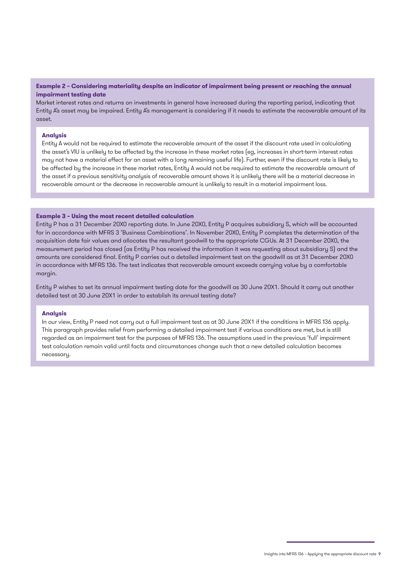**Example 2 – Considering materiality despite an indicator of impairment being present or reaching the annual impairment testing date** 

Market interest rates and returns on investments in general have increased during the reporting period, indicating that Entity A's asset may be impaired. Entity A's management is considering if it needs to estimate the recoverable amount of its asset.

#### **Analysis**

Entity A would not be required to estimate the recoverable amount of the asset if the discount rate used in calculating the asset's VIU is unlikely to be affected by the increase in these market rates (eg, increases in short-term interest rates may not have a material effect for an asset with a long remaining useful life). Further, even if the discount rate is likely to be affected by the increase in these market rates, Entity A would not be required to estimate the recoverable amount of the asset if a previous sensitivity analysis of recoverable amount shows it is unlikely there will be a material decrease in recoverable amount or the decrease in recoverable amount is unlikely to result in a material impairment loss.

#### **Example 3 – Using the most recent detailed calculation**

Entity P has a 31 December 20X0 reporting date. In June 20X0, Entity P acquires subsidiary S, which will be accounted for in accordance with MFRS 3 'Business Combinations'. In November 20X0, Entity P completes the determination of the acquisition date fair values and allocates the resultant goodwill to the appropriate CGUs. At 31 December 20X0, the measurement period has closed (as Entity P has received the information it was requesting about subsidiary S) and the amounts are considered final. Entity P carries out a detailed impairment test on the goodwill as at 31 December 20X0 in accordance with MFRS 136. The test indicates that recoverable amount exceeds carrying value by a comfortable margin.

Entity P wishes to set its annual impairment testing date for the goodwill as 30 June 20X1. Should it carry out another detailed test at 30 June 20X1 in order to establish its annual testing date?

#### **Analysis**

In our view, Entity P need not carry out a full impairment test as at 30 June 20X1 if the conditions in MFRS 136 apply. This paragraph provides relief from performing a detailed impairment test if various conditions are met, but is still regarded as an impairment test for the purposes of MFRS 136. The assumptions used in the previous 'full' impairment test calculation remain valid until facts and circumstances change such that a new detailed calculation becomes necessary.

Insights into MFRS 136 – Applying the appropriate discount rate 9